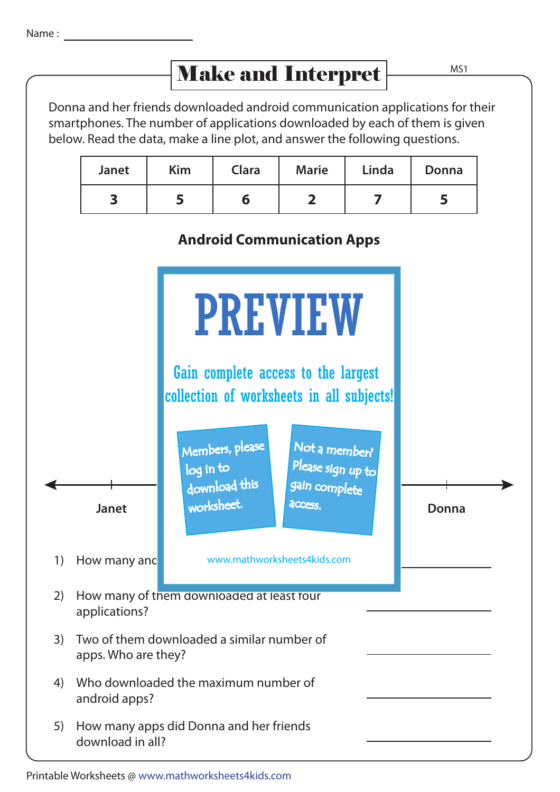## Make and Interpret

Donna and her friends downloaded android communication applications for their smartphones. The number of applications downloaded by each of them is given below. Read the data, make a line plot, and answer the following questions.

| <b>Janet</b> | <b>Kim</b> | Clara | <b>Marie</b> | Linda | <b>Donna</b> |
|--------------|------------|-------|--------------|-------|--------------|
|              |            |       |              |       |              |

## **Android Communication Apps**



Printable Worksheets @ www.mathworksheets4kids.com